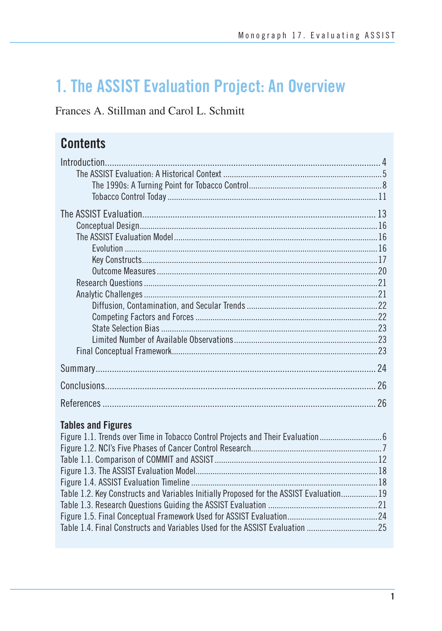# 1. The ASSIST Evaluation Project: An Overview

Frances A. Stillman and Carol L. Schmitt

# **Contents**

| 24 |
|----|
| 26 |
| 26 |

## **Tables and Figures**

| Figure 1.1. Trends over Time in Tobacco Control Projects and Their Evaluation           |
|-----------------------------------------------------------------------------------------|
|                                                                                         |
|                                                                                         |
|                                                                                         |
|                                                                                         |
| Table 1.2. Key Constructs and Variables Initially Proposed for the ASSIST Evaluation 19 |
|                                                                                         |
|                                                                                         |
|                                                                                         |
|                                                                                         |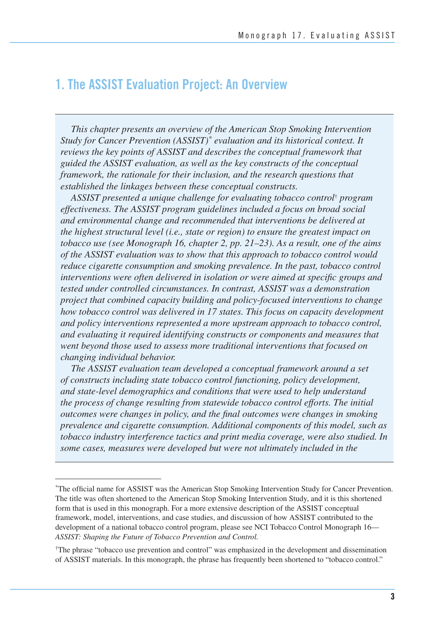# **1. The ASSIST Evaluation Project: An Overview**

*This chapter presents an overview of the American Stop Smoking Intervention Study for Cancer Prevention (ASSIST)\* evaluation and its historical context. It reviews the key points of ASSIST and describes the conceptual framework that guided the ASSIST evaluation, as well as the key constructs of the conceptual framework, the rationale for their inclusion, and the research questions that established the linkages between these conceptual constructs.* 

*ASSIST presented a unique challenge for evaluating tobacco control*† *program effectiveness. The ASSIST program guidelines included a focus on broad social and environmental change and recommended that interventions be delivered at the highest structural level (i.e., state or region) to ensure the greatest impact on tobacco use (see Monograph 16, chapter 2, pp. 21–23). As a result, one of the aims of the ASSIST evaluation was to show that this approach to tobacco control would reduce cigarette consumption and smoking prevalence. In the past, tobacco control interventions were often delivered in isolation or were aimed at specific groups and tested under controlled circumstances. In contrast, ASSIST was a demonstration project that combined capacity building and policy-focused interventions to change how tobacco control was delivered in 17 states. This focus on capacity development and policy interventions represented a more upstream approach to tobacco control, and evaluating it required identifying constructs or components and measures that went beyond those used to assess more traditional interventions that focused on changing individual behavior.* 

*The ASSIST evaluation team developed a conceptual framework around a set of constructs including state tobacco control functioning, policy development, and state-level demographics and conditions that were used to help understand the process of change resulting from statewide tobacco control efforts. The initial outcomes were changes in policy, and the final outcomes were changes in smoking prevalence and cigarette consumption. Additional components of this model, such as tobacco industry interference tactics and print media coverage, were also studied. In some cases, measures were developed but were not ultimately included in the* 

The official name for ASSIST was the American Stop Smoking Intervention Study for Cancer Prevention. The title was often shortened to the American Stop Smoking Intervention Study, and it is this shortened form that is used in this monograph. For a more extensive description of the ASSIST conceptual framework, model, interventions, and case studies, and discussion of how ASSIST contributed to the development of a national tobacco control program, please see NCI Tobacco Control Monograph 16— *ASSIST: Shaping the Future of Tobacco Prevention and Control.* 

<sup>†</sup>The phrase "tobacco use prevention and control" was emphasized in the development and dissemination of ASSIST materials. In this monograph, the phrase has frequently been shortened to "tobacco control."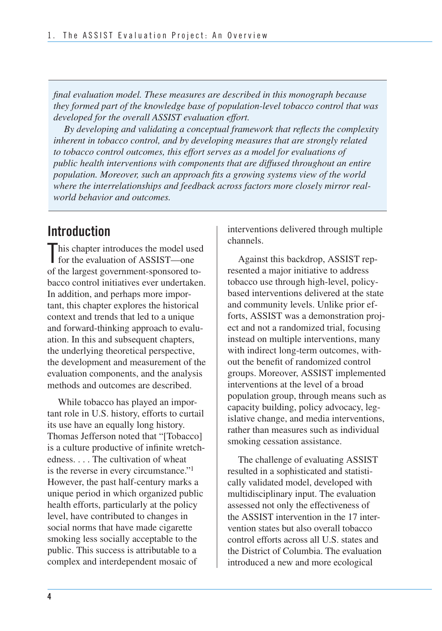*final evaluation model. These measures are described in this monograph because they formed part of the knowledge base of population-level tobacco control that was developed for the overall ASSIST evaluation effort.* 

*By developing and validating a conceptual framework that reflects the complexity inherent in tobacco control, and by developing measures that are strongly related*  to tobacco control outcomes, this effort serves as a model for evaluations of *public health interventions with components that are diffused throughout an entire population. Moreover, such an approach fits a growing systems view of the world where the interrelationships and feedback across factors more closely mirror realworld behavior and outcomes.* 

# **Introduction**

This chapter introduces the model used<br>for the evaluation of ASSIST—one for the evaluation of ASSIST—one of the largest government-sponsored tobacco control initiatives ever undertaken. In addition, and perhaps more important, this chapter explores the historical context and trends that led to a unique and forward-thinking approach to evaluation. In this and subsequent chapters, the underlying theoretical perspective, the development and measurement of the evaluation components, and the analysis methods and outcomes are described.

While tobacco has played an important role in U.S. history, efforts to curtail its use have an equally long history. Thomas Jefferson noted that "[Tobacco] is a culture productive of infinite wretchedness. . . . The cultivation of wheat is the reverse in every circumstance."1 However, the past half-century marks a unique period in which organized public health efforts, particularly at the policy level, have contributed to changes in social norms that have made cigarette smoking less socially acceptable to the public. This success is attributable to a complex and interdependent mosaic of

interventions delivered through multiple channels.

Against this backdrop, ASSIST represented a major initiative to address tobacco use through high-level, policybased interventions delivered at the state and community levels. Unlike prior efforts, ASSIST was a demonstration project and not a randomized trial, focusing instead on multiple interventions, many with indirect long-term outcomes, without the benefit of randomized control groups. Moreover, ASSIST implemented interventions at the level of a broad population group, through means such as capacity building, policy advocacy, legislative change, and media interventions, rather than measures such as individual smoking cessation assistance.

 The challenge of evaluating ASSIST resulted in a sophisticated and statisti- cally validated model, developed with multidisciplinary input. The evaluation assessed not only the effectiveness of the ASSIST intervention in the 17 inter- vention states but also overall tobacco control efforts across all U.S. states and the District of Columbia. The evaluation introduced a new and more ecological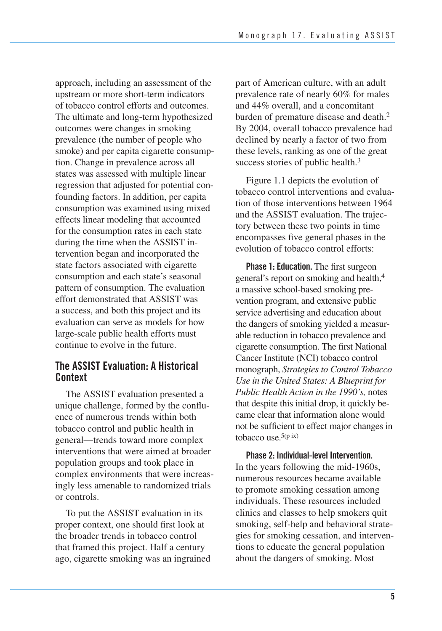approach, including an assessment of the upstream or more short-term indicators of tobacco control efforts and outcomes. The ultimate and long-term hypothesized outcomes were changes in smoking prevalence (the number of people who smoke) and per capita cigarette consump- tion. Change in prevalence across all states was assessed with multiple linear regression that adjusted for potential con- founding factors. In addition, per capita consumption was examined using mixed effects linear modeling that accounted for the consumption rates in each state during the time when the ASSIST in- tervention began and incorporated the state factors associated with cigarette consumption and each state's seasonal pattern of consumption. The evaluation effort demonstrated that ASSIST was a success, and both this project and its evaluation can serve as models for how large-scale public health efforts must continue to evolve in the future.

#### **The ASSIST Evaluation: A Historical Context**

The ASSIST evaluation presented a unique challenge, formed by the confluence of numerous trends within both tobacco control and public health in general—trends toward more complex interventions that were aimed at broader population groups and took place in complex environments that were increasingly less amenable to randomized trials or controls.

To put the ASSIST evaluation in its proper context, one should first look at the broader trends in tobacco control that framed this project. Half a century ago, cigarette smoking was an ingrained part of American culture, with an adult prevalence rate of nearly 60% for males and 44% overall, and a concomitant burden of premature disease and death.<sup>2</sup> By 2004, overall tobacco prevalence had declined by nearly a factor of two from these levels, ranking as one of the great success stories of public health.<sup>3</sup>

Figure 1.1 depicts the evolution of tobacco control interventions and evaluation of those interventions between 1964 and the ASSIST evaluation. The trajectory between these two points in time encompasses five general phases in the evolution of tobacco control efforts:

 **Phase 1: Education.** The first surgeon general's report on smoking and health,<sup>4</sup> a massive school-based smoking pre- vention program, and extensive public service advertising and education about the dangers of smoking yielded a measur- able reduction in tobacco prevalence and cigarette consumption. The first National Cancer Institute (NCI) tobacco control  monograph, *Strategies to Control Tobacco Use in the United States: A Blueprint for Public Health Action in the 1990's,* notes that despite this initial drop, it quickly be- came clear that information alone would not be sufficient to effect major changes in tobacco use.5(p ix)

 **Phase 2: Individual-level Intervention.**  In the years following the mid-1960s, numerous resources became available to promote smoking cessation among individuals. These resources included clinics and classes to help smokers quit smoking, self-help and behavioral strategies for smoking cessation, and interventions to educate the general population about the dangers of smoking. Most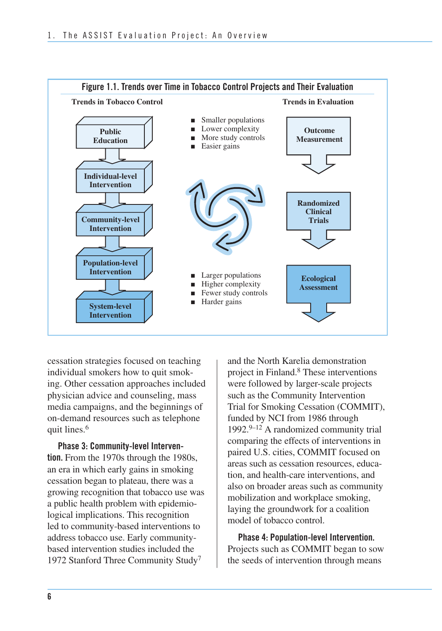

cessation strategies focused on teaching individual smokers how to quit smoking. Other cessation approaches included physician advice and counseling, mass media campaigns, and the beginnings of on-demand resources such as telephone quit lines.<sup>6</sup>

 **tion.** From the 1970s through the 1980s, an era in which early gains in smoking cessation began to plateau, there was a growing recognition that tobacco use was a public health problem with epidemio- logical implications. This recognition led to community-based interventions to address tobacco use. Early community- based intervention studies included the 1972 Stanford Three Community Study7 **Phase 3: Community-level Interven-**  and the North Karelia demonstration project in Finland.8 These interventions were followed by larger-scale projects such as the Community Intervention Trial for Smoking Cessation (COMMIT), funded by NCI from 1986 through 1992. $9-12$  A randomized community trial comparing the effects of interventions in paired U.S. cities, COMMIT focused on areas such as cessation resources, educa- tion, and health-care interventions, and also on broader areas such as community mobilization and workplace smoking, laying the groundwork for a coalition model of tobacco control.

**Phase 4: Population-level Intervention.**  Projects such as COMMIT began to sow the seeds of intervention through means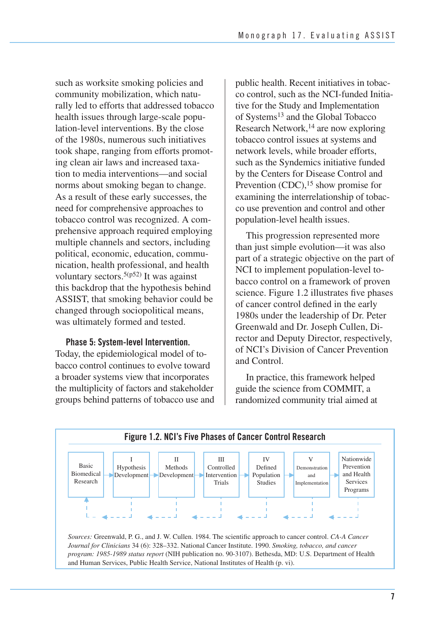such as worksite smoking policies and community mobilization, which naturally led to efforts that addressed tobacco health issues through large-scale population-level interventions. By the close of the 1980s, numerous such initiatives took shape, ranging from efforts promoting clean air laws and increased taxation to media interventions—and social norms about smoking began to change. As a result of these early successes, the need for comprehensive approaches to tobacco control was recognized. A comprehensive approach required employing multiple channels and sectors, including political, economic, education, communication, health professional, and health voluntary sectors.<sup>5(p52)</sup> It was against this backdrop that the hypothesis behind ASSIST, that smoking behavior could be changed through sociopolitical means, was ultimately formed and tested.

#### **Phase 5: System-level Intervention.**

 Today, the epidemiological model of to- bacco control continues to evolve toward a broader systems view that incorporates the multiplicity of factors and stakeholder groups behind patterns of tobacco use and  public health. Recent initiatives in tobac- co control, such as the NCI-funded Initia- tive for the Study and Implementation of Systems<sup>13</sup> and the Global Tobacco Research Network, $14$  are now exploring tobacco control issues at systems and network levels, while broader efforts, such as the Syndemics initiative funded by the Centers for Disease Control and Prevention  $(CDC)$ ,<sup>15</sup> show promise for examining the interrelationship of tobac- co use prevention and control and other population-level health issues.

This progression represented more than just simple evolution—it was also part of a strategic objective on the part of NCI to implement population-level tobacco control on a framework of proven science. Figure 1.2 illustrates five phases of cancer control defined in the early 1980s under the leadership of Dr. Peter Greenwald and Dr. Joseph Cullen, Director and Deputy Director, respectively, of NCI's Division of Cancer Prevention and Control.

 In practice, this framework helped guide the science from COMMIT, a randomized community trial aimed at



*Journal for Clinicians* 34 (6): 328–332. National Cancer Institute. 1990. *Smoking, tobacco, and cancer program: 1985-1989 status report* (NIH publication no. 90-3107). Bethesda, MD: U.S. Department of Health and Human Services, Public Health Service, National Institutes of Health (p. vi).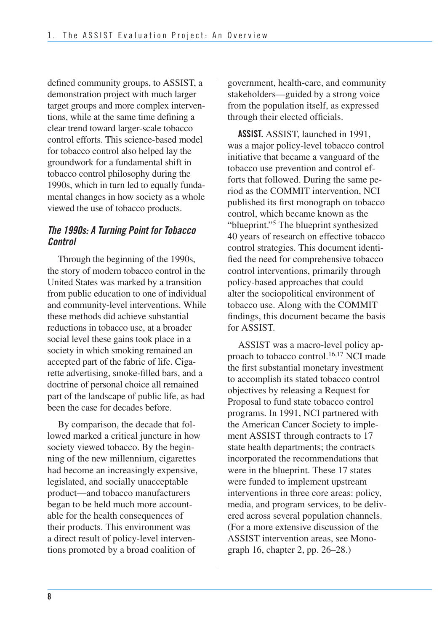defined community groups, to ASSIST, a demonstration project with much larger target groups and more complex interven- tions, while at the same time defining a clear trend toward larger-scale tobacco control efforts. This science-based model for tobacco control also helped lay the groundwork for a fundamental shift in tobacco control philosophy during the 1990s, which in turn led to equally funda- mental changes in how society as a whole viewed the use of tobacco products.

#### *The 1990s: A Turning Point for Tobacco Control*

 Through the beginning of the 1990s, the story of modern tobacco control in the United States was marked by a transition from public education to one of individual these methods did achieve substantial reductions in tobacco use, at a broader social level these gains took place in a society in which smoking remained an accepted part of the fabric of life. Ciga- rette advertising, smoke-filled bars, and a doctrine of personal choice all remained part of the landscape of public life, as had been the case for decades before. and community-level interventions. While

By comparison, the decade that followed marked a critical juncture in how society viewed tobacco. By the beginning of the new millennium, cigarettes had become an increasingly expensive, legislated, and socially unacceptable product—and tobacco manufacturers began to be held much more accountable for the health consequences of their products. This environment was a direct result of policy-level interventions promoted by a broad coalition of

government, health-care, and community stakeholders—guided by a strong voice from the population itself, as expressed through their elected officials.

**ASSIST.** ASSIST, launched in 1991, was a major policy-level tobacco control initiative that became a vanguard of the tobacco use prevention and control efforts that followed. During the same period as the COMMIT intervention, NCI published its first monograph on tobacco control, which became known as the "blueprint."5 The blueprint synthesized 40 years of research on effective tobacco control strategies. This document identified the need for comprehensive tobacco control interventions, primarily through policy-based approaches that could alter the sociopolitical environment of tobacco use. Along with the COMMIT findings, this document became the basis for ASSIST.

ASSIST was a macro-level policy approach to tobacco control.16,17 NCI made the first substantial monetary investment to accomplish its stated tobacco control objectives by releasing a Request for Proposal to fund state tobacco control programs. In 1991, NCI partnered with the American Cancer Society to implement ASSIST through contracts to 17 state health departments; the contracts incorporated the recommendations that were in the blueprint. These 17 states were funded to implement upstream interventions in three core areas: policy, media, and program services, to be delivered across several population channels. (For a more extensive discussion of the ASSIST intervention areas, see Monograph 16, chapter 2, pp. 26–28.)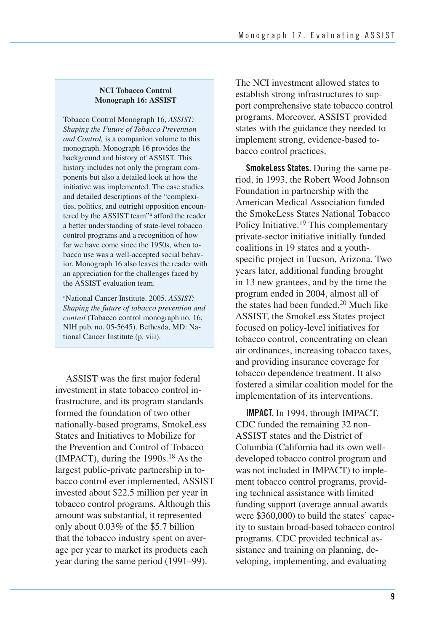#### **NCI Tobacco Control Monograph 16: ASSIST**

Tobacco Control Monograph 16, *ASSIST: Shaping the Future of Tobacco Prevention and Control,* is a companion volume to this monograph. Monograph 16 provides the background and history of ASSIST. This history includes not only the program components but also a detailed look at how the initiative was implemented. The case studies and detailed descriptions of the "complexities, politics, and outright opposition encountered by the ASSIST team"a afford the reader a better understanding of state-level tobacco control programs and a recognition of how far we have come since the 1950s, when tobacco use was a well-accepted social behavior. Monograph 16 also leaves the reader with an appreciation for the challenges faced by the ASSIST evaluation team.

aNational Cancer Institute. 2005. *ASSIST: Shaping the future of tobacco prevention and control* (Tobacco control monograph no. 16, NIH pub. no. 05-5645). Bethesda, MD: National Cancer Institute (p. viii).

 ASSIST was the first major federal investment in state tobacco control in- frastructure, and its program standards formed the foundation of two other nationally-based programs, SmokeLess States and Initiatives to Mobilize for the Prevention and Control of Tobacco (IMPACT), during the  $1990s$ .<sup>18</sup> As the largest public-private partnership in to- bacco control ever implemented, ASSIST invested about \$22.5 million per year in tobacco control programs. Although this amount was substantial, it represented only about 0.03% of the \$5.7 billion that the tobacco industry spent on aver- age per year to market its products each year during the same period (1991–99).

 The NCI investment allowed states to establish strong infrastructures to sup- port comprehensive state tobacco control programs. Moreover, ASSIST provided states with the guidance they needed to implement strong, evidence-based to-bacco control practices.

**SmokeLess States.** During the same period, in 1993, the Robert Wood Johnson Foundation in partnership with the American Medical Association funded the SmokeLess States National Tobacco Policy Initiative.<sup>19</sup> This complementary private-sector initiative initially funded coalitions in 19 states and a youthspecific project in Tucson, Arizona. Two years later, additional funding brought in 13 new grantees, and by the time the program ended in 2004, almost all of the states had been funded.20 Much like ASSIST, the SmokeLess States project focused on policy-level initiatives for tobacco control, concentrating on clean air ordinances, increasing tobacco taxes, and providing insurance coverage for tobacco dependence treatment. It also fostered a similar coalition model for the implementation of its interventions.

 **IMPACT.** In 1994, through IMPACT, CDC funded the remaining 32 non- ASSIST states and the District of Columbia (California had its own well- developed tobacco control program and was not included in IMPACT) to imple- ment tobacco control programs, provid- ing technical assistance with limited funding support (average annual awards were \$360,000) to build the states' capac- ity to sustain broad-based tobacco control programs. CDC provided technical as- sistance and training on planning, de-veloping, implementing, and evaluating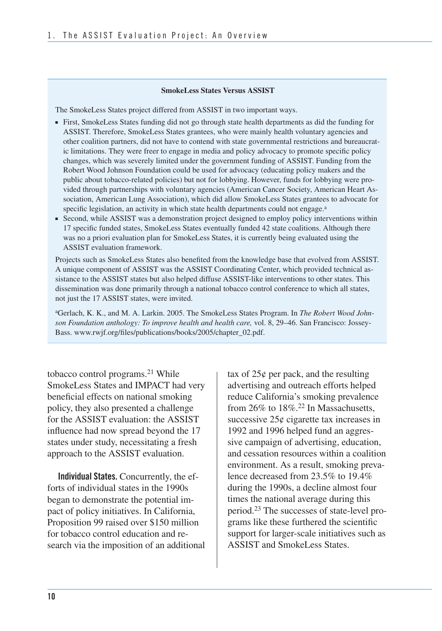#### **SmokeLess States Versus ASSIST**

The SmokeLess States project differed from ASSIST in two important ways.

- ■ First, SmokeLess States funding did not go through state health departments as did the funding for ASSIST. Therefore, SmokeLess States grantees, who were mainly health voluntary agencies and other coalition partners, did not have to contend with state governmental restrictions and bureaucratic limitations. They were freer to engage in media and policy advocacy to promote specific policy changes, which was severely limited under the government funding of ASSIST. Funding from the Robert Wood Johnson Foundation could be used for advocacy (educating policy makers and the public about tobacco-related policies) but not for lobbying. However, funds for lobbying were provided through partnerships with voluntary agencies (American Cancer Society, American Heart Association, American Lung Association), which did allow SmokeLess States grantees to advocate for specific legislation, an activity in which state health departments could not engage.<sup>a</sup>
- Second, while ASSIST was a demonstration project designed to employ policy interventions within 17 specific funded states, SmokeLess States eventually funded 42 state coalitions. Although there was no a priori evaluation plan for SmokeLess States, it is currently being evaluated using the ASSIST evaluation framework.

Projects such as SmokeLess States also benefited from the knowledge base that evolved from ASSIST. A unique component of ASSIST was the ASSIST Coordinating Center, which provided technical assistance to the ASSIST states but also helped diffuse ASSIST-like interventions to other states. This dissemination was done primarily through a national tobacco control conference to which all states, not just the 17 ASSIST states, were invited.

aGerlach, K. K., and M. A. Larkin. 2005. The SmokeLess States Program. In *The Robert Wood Johnson Foundation anthology: To improve health and health care,* vol. 8, 29–46. San Francisco: Jossey-Bass. www.rwjf.org/files/publications/books/2005/chapter\_02.pdf.

tobacco control programs.<sup>21</sup> While SmokeLess States and IMPACT had very beneficial effects on national smoking policy, they also presented a challenge for the ASSIST evaluation: the ASSIST influence had now spread beyond the 17 states under study, necessitating a fresh approach to the ASSIST evaluation.

 **Individual States.** Concurrently, the ef- forts of individual states in the 1990s began to demonstrate the potential im- pact of policy initiatives. In California, Proposition 99 raised over \$150 million for tobacco control education and re-search via the imposition of an additional tax of  $25¢$  per pack, and the resulting advertising and outreach efforts helped reduce California's smoking prevalence from 26% to 18%.<sup>22</sup> In Massachusetts, successive  $25¢$  cigarette tax increases in 1992 and 1996 helped fund an aggres- sive campaign of advertising, education, and cessation resources within a coalition environment. As a result, smoking preva- lence decreased from 23.5% to 19.4% during the 1990s, a decline almost four times the national average during this period.<sup>23</sup> The successes of state-level pro- grams like these furthered the scientific support for larger-scale initiatives such as ASSIST and SmokeLess States.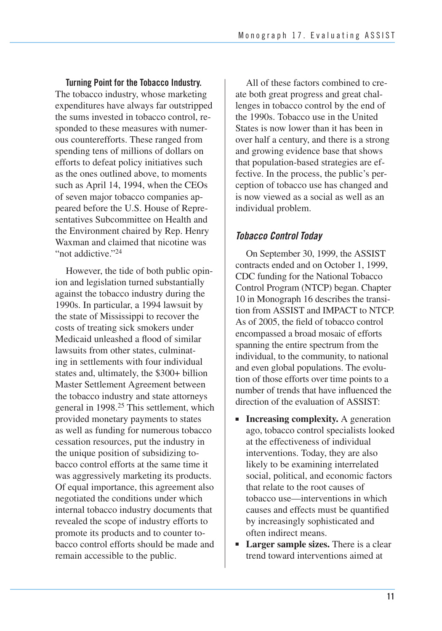**Turning Point for the Tobacco Industry.**  The tobacco industry, whose marketing expenditures have always far outstripped the sums invested in tobacco control, responded to these measures with numerous counterefforts. These ranged from spending tens of millions of dollars on efforts to defeat policy initiatives such as the ones outlined above, to moments such as April 14, 1994, when the CEOs of seven major tobacco companies appeared before the U.S. House of Representatives Subcommittee on Health and the Environment chaired by Rep. Henry Waxman and claimed that nicotine was "not addictive."<sup>24</sup>

However, the tide of both public opinion and legislation turned substantially against the tobacco industry during the 1990s. In particular, a 1994 lawsuit by the state of Mississippi to recover the costs of treating sick smokers under Medicaid unleashed a flood of similar lawsuits from other states, culminating in settlements with four individual states and, ultimately, the \$300+ billion Master Settlement Agreement between the tobacco industry and state attorneys general in 1998.25 This settlement, which provided monetary payments to states as well as funding for numerous tobacco cessation resources, put the industry in the unique position of subsidizing tobacco control efforts at the same time it was aggressively marketing its products. Of equal importance, this agreement also negotiated the conditions under which internal tobacco industry documents that revealed the scope of industry efforts to promote its products and to counter tobacco control efforts should be made and remain accessible to the public.

All of these factors combined to create both great progress and great challenges in tobacco control by the end of the 1990s. Tobacco use in the United States is now lower than it has been in over half a century, and there is a strong and growing evidence base that shows that population-based strategies are effective. In the process, the public's perception of tobacco use has changed and is now viewed as a social as well as an individual problem.

### *Tobacco Control Today*

 On September 30, 1999, the ASSIST contracts ended and on October 1, 1999, CDC funding for the National Tobacco Control Program (NTCP) began. Chapter 10 in Monograph 16 describes the transi- tion from ASSIST and IMPACT to NTCP. As of 2005, the field of tobacco control encompassed a broad mosaic of efforts spanning the entire spectrum from the individual, to the community, to national and even global populations. The evolu- tion of those efforts over time points to a number of trends that have influenced the direction of the evaluation of ASSIST:

- **Increasing complexity.** A generation ago, tobacco control specialists looked at the effectiveness of individual interventions. Today, they are also likely to be examining interrelated social, political, and economic factors that relate to the root causes of tobacco use—interventions in which causes and effects must be quantified by increasingly sophisticated and often indirect means.
- **Larger sample sizes.** There is a clear trend toward interventions aimed at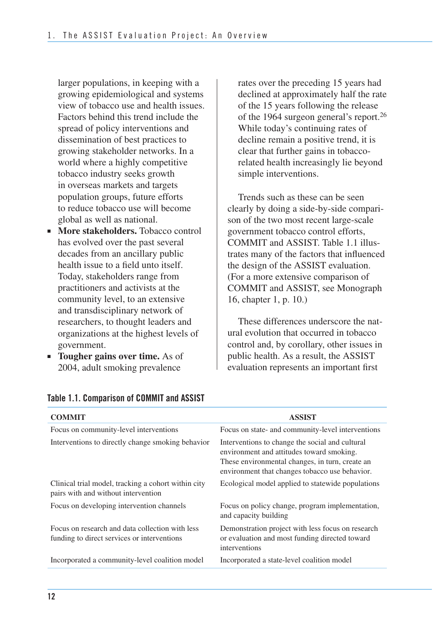larger populations, in keeping with a growing epidemiological and systems view of tobacco use and health issues. Factors behind this trend include the spread of policy interventions and dissemination of best practices to growing stakeholder networks. In a world where a highly competitive tobacco industry seeks growth in overseas markets and targets population groups, future efforts to reduce tobacco use will become global as well as national.

- **More stakeholders.** Tobacco control has evolved over the past several decades from an ancillary public health issue to a field unto itself. Today, stakeholders range from practitioners and activists at the community level, to an extensive and transdisciplinary network of researchers, to thought leaders and organizations at the highest levels of government.
- **Tougher gains over time.** As of 2004, adult smoking prevalence

rates over the preceding 15 years had declined at approximately half the rate of the 15 years following the release of the 1964 surgeon general's report.26 While today's continuing rates of decline remain a positive trend, it is clear that further gains in tobaccorelated health increasingly lie beyond simple interventions.

Trends such as these can be seen clearly by doing a side-by-side comparison of the two most recent large-scale government tobacco control efforts, COMMIT and ASSIST. Table 1.1 illustrates many of the factors that influenced the design of the ASSIST evaluation. (For a more extensive comparison of COMMIT and ASSIST, see Monograph 16, chapter 1, p. 10.)

These differences underscore the natural evolution that occurred in tobacco control and, by corollary, other issues in public health. As a result, the ASSIST evaluation represents an important first

| <b>COMMIT</b>                                                                                  | <b>ASSIST</b>                                                                                                                                                                                     |
|------------------------------------------------------------------------------------------------|---------------------------------------------------------------------------------------------------------------------------------------------------------------------------------------------------|
| Focus on community-level interventions                                                         | Focus on state- and community-level interventions                                                                                                                                                 |
| Interventions to directly change smoking behavior                                              | Interventions to change the social and cultural<br>environment and attitudes toward smoking.<br>These environmental changes, in turn, create an<br>environment that changes tobacco use behavior. |
| Clinical trial model, tracking a cohort within city<br>pairs with and without intervention     | Ecological model applied to statewide populations                                                                                                                                                 |
| Focus on developing intervention channels                                                      | Focus on policy change, program implementation,<br>and capacity building                                                                                                                          |
| Focus on research and data collection with less<br>funding to direct services or interventions | Demonstration project with less focus on research<br>or evaluation and most funding directed toward<br>interventions                                                                              |
| Incorporated a community-level coalition model                                                 | Incorporated a state-level coalition model                                                                                                                                                        |
|                                                                                                |                                                                                                                                                                                                   |

#### **Table 1.1. Comparison of COMMIT and ASSIST**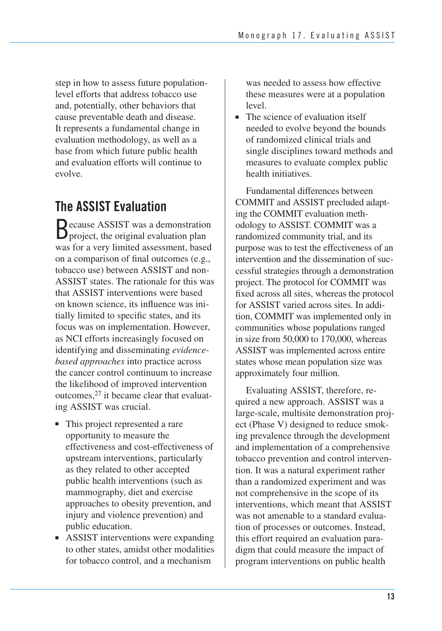step in how to assess future populationlevel efforts that address tobacco use and, potentially, other behaviors that cause preventable death and disease. It represents a fundamental change in evaluation methodology, as well as a base from which future public health and evaluation efforts will continue to evolve.

# **The ASSIST Evaluation**

Because ASSIST was a demonstration project, the original evaluation plan was for a very limited assessment, based on a comparison of final outcomes (e.g., tobacco use) between ASSIST and non-ASSIST states. The rationale for this was that ASSIST interventions were based on known science, its influence was initially limited to specific states, and its focus was on implementation. However, as NCI efforts increasingly focused on identifying and disseminating *evidencebased approaches* into practice across the cancer control continuum to increase the likelihood of improved intervention outcomes,27 it became clear that evaluating ASSIST was crucial.

- This project represented a rare opportunity to measure the effectiveness and cost-effectiveness of upstream interventions, particularly as they related to other accepted public health interventions (such as mammography, diet and exercise approaches to obesity prevention, and injury and violence prevention) and public education.
- ASSIST interventions were expanding to other states, amidst other modalities for tobacco control, and a mechanism

was needed to assess how effective these measures were at a population level.

■ The science of evaluation itself needed to evolve beyond the bounds of randomized clinical trials and single disciplines toward methods and measures to evaluate complex public health initiatives.

 Fundamental differences between COMMIT and ASSIST precluded adapt- ing the COMMIT evaluation meth- odology to ASSIST. COMMIT was a randomized community trial, and its purpose was to test the effectiveness of an intervention and the dissemination of suc- cessful strategies through a demonstration project. The protocol for COMMIT was fixed across all sites, whereas the protocol for ASSIST varied across sites. In addi- tion, COMMIT was implemented only in communities whose populations ranged in size from 50,000 to 170,000, whereas ASSIST was implemented across entire states whose mean population size was approximately four million.

Evaluating ASSIST, therefore, required a new approach. ASSIST was a large-scale, multisite demonstration project (Phase V) designed to reduce smoking prevalence through the development and implementation of a comprehensive tobacco prevention and control intervention. It was a natural experiment rather than a randomized experiment and was not comprehensive in the scope of its interventions, which meant that ASSIST was not amenable to a standard evaluation of processes or outcomes. Instead, this effort required an evaluation paradigm that could measure the impact of program interventions on public health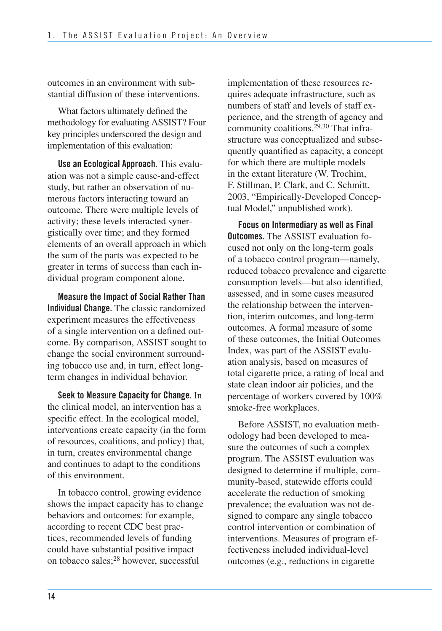outcomes in an environment with substantial diffusion of these interventions.

 What factors ultimately defined the methodology for evaluating ASSIST? Four key principles underscored the design and implementation of this evaluation:

**Use an Ecological Approach.** This evaluation was not a simple cause-and-effect study, but rather an observation of numerous factors interacting toward an outcome. There were multiple levels of activity; these levels interacted synergistically over time; and they formed elements of an overall approach in which the sum of the parts was expected to be greater in terms of success than each individual program component alone.

**Measure the Impact of Social Rather Than Individual Change.** The classic randomized experiment measures the effectiveness of a single intervention on a defined outcome. By comparison, ASSIST sought to change the social environment surrounding tobacco use and, in turn, effect longterm changes in individual behavior.

**Seek to Measure Capacity for Change.** In the clinical model, an intervention has a specific effect. In the ecological model, interventions create capacity (in the form of resources, coalitions, and policy) that, in turn, creates environmental change and continues to adapt to the conditions of this environment.

In tobacco control, growing evidence shows the impact capacity has to change behaviors and outcomes: for example, according to recent CDC best practices, recommended levels of funding could have substantial positive impact on tobacco sales;28 however, successful

implementation of these resources requires adequate infrastructure, such as numbers of staff and levels of staff experience, and the strength of agency and community coalitions.<sup>29,30</sup> That infrastructure was conceptualized and subsequently quantified as capacity, a concept for which there are multiple models in the extant literature (W. Trochim, F. Stillman, P. Clark, and C. Schmitt, 2003, "Empirically-Developed Conceptual Model," unpublished work).

**Focus on Intermediary as well as Final Outcomes.** The ASSIST evaluation focused not only on the long-term goals of a tobacco control program—namely, reduced tobacco prevalence and cigarette consumption levels—but also identified, assessed, and in some cases measured the relationship between the intervention, interim outcomes, and long-term outcomes. A formal measure of some of these outcomes, the Initial Outcomes Index, was part of the ASSIST evaluation analysis, based on measures of total cigarette price, a rating of local and state clean indoor air policies, and the percentage of workers covered by 100% smoke-free workplaces.

Before ASSIST, no evaluation methodology had been developed to measure the outcomes of such a complex program. The ASSIST evaluation was designed to determine if multiple, community-based, statewide efforts could accelerate the reduction of smoking prevalence; the evaluation was not designed to compare any single tobacco control intervention or combination of interventions. Measures of program effectiveness included individual-level outcomes (e.g., reductions in cigarette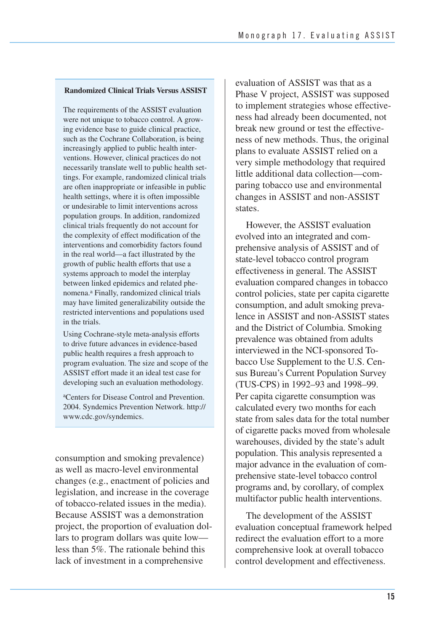#### **Randomized Clinical Trials Versus ASSIST**

The requirements of the ASSIST evaluation were not unique to tobacco control. A growing evidence base to guide clinical practice, such as the Cochrane Collaboration, is being increasingly applied to public health interventions. However, clinical practices do not necessarily translate well to public health settings. For example, randomized clinical trials are often inappropriate or infeasible in public health settings, where it is often impossible or undesirable to limit interventions across population groups. In addition, randomized clinical trials frequently do not account for the complexity of effect modification of the interventions and comorbidity factors found in the real world—a fact illustrated by the growth of public health efforts that use a systems approach to model the interplay between linked epidemics and related phenomena.<sup>a</sup> Finally, randomized clinical trials may have limited generalizability outside the restricted interventions and populations used in the trials.

Using Cochrane-style meta-analysis efforts to drive future advances in evidence-based public health requires a fresh approach to program evaluation. The size and scope of the ASSIST effort made it an ideal test case for developing such an evaluation methodology.

aCenters for Disease Control and Prevention. 2004. Syndemics Prevention Network. http:// www.cdc.gov/syndemics.

consumption and smoking prevalence) as well as macro-level environmental changes (e.g., enactment of policies and legislation, and increase in the coverage of tobacco-related issues in the media). Because ASSIST was a demonstration project, the proportion of evaluation dollars to program dollars was quite low less than 5%. The rationale behind this lack of investment in a comprehensive

evaluation of ASSIST was that as a Phase V project, ASSIST was supposed to implement strategies whose effectiveness had already been documented, not break new ground or test the effectiveness of new methods. Thus, the original plans to evaluate ASSIST relied on a very simple methodology that required little additional data collection—comparing tobacco use and environmental changes in ASSIST and non-ASSIST states.

 However, the ASSIST evaluation evolved into an integrated and com- prehensive analysis of ASSIST and of state-level tobacco control program effectiveness in general. The ASSIST evaluation compared changes in tobacco control policies, state per capita cigarette consumption, and adult smoking preva- lence in ASSIST and non-ASSIST states and the District of Columbia. Smoking prevalence was obtained from adults interviewed in the NCI-sponsored To- bacco Use Supplement to the U.S. Cen- sus Bureau's Current Population Survey (TUS-CPS) in 1992–93 and 1998–99. Per capita cigarette consumption was calculated every two months for each state from sales data for the total number of cigarette packs moved from wholesale warehouses, divided by the state's adult population. This analysis represented a major advance in the evaluation of com- prehensive state-level tobacco control programs and, by corollary, of complex multifactor public health interventions.

The development of the ASSIST evaluation conceptual framework helped redirect the evaluation effort to a more comprehensive look at overall tobacco control development and effectiveness.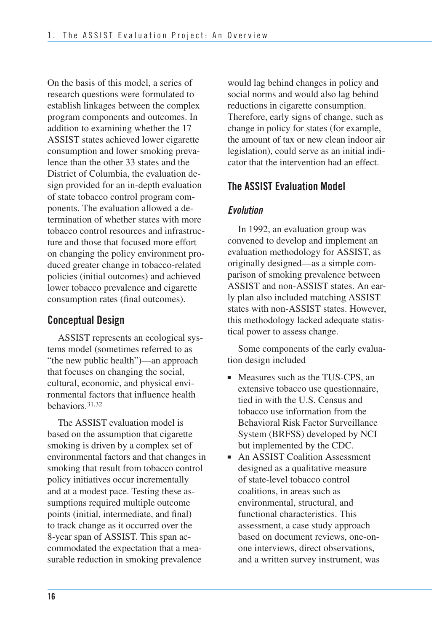On the basis of this model, a series of research questions were formulated to establish linkages between the complex program components and outcomes. In addition to examining whether the 17 ASSIST states achieved lower cigarette consumption and lower smoking prevalence than the other 33 states and the District of Columbia, the evaluation design provided for an in-depth evaluation of state tobacco control program components. The evaluation allowed a determination of whether states with more tobacco control resources and infrastructure and those that focused more effort on changing the policy environment produced greater change in tobacco-related policies (initial outcomes) and achieved lower tobacco prevalence and cigarette consumption rates (final outcomes).

## **Conceptual Design**

ASSIST represents an ecological systems model (sometimes referred to as "the new public health")—an approach that focuses on changing the social, cultural, economic, and physical environmental factors that influence health behaviors.31,32

 The ASSIST evaluation model is based on the assumption that cigarette smoking is driven by a complex set of environmental factors and that changes in smoking that result from tobacco control policy initiatives occur incrementally and at a modest pace. Testing these as- sumptions required multiple outcome points (initial, intermediate, and final) to track change as it occurred over the 8-year span of ASSIST. This span accommodated the expectation that a mea-surable reduction in smoking prevalence

 would lag behind changes in policy and social norms and would also lag behind reductions in cigarette consumption. Therefore, early signs of change, such as change in policy for states (for example, the amount of tax or new clean indoor air legislation), could serve as an initial indi-cator that the intervention had an effect.

## **The ASSIST Evaluation Model**

### *Evolution*

In 1992, an evaluation group was convened to develop and implement an evaluation methodology for ASSIST, as originally designed—as a simple comparison of smoking prevalence between ASSIST and non-ASSIST states. An early plan also included matching ASSIST states with non-ASSIST states. However, this methodology lacked adequate statistical power to assess change.

Some components of the early evaluation design included

- Measures such as the TUS-CPS, an extensive tobacco use questionnaire, tied in with the U.S. Census and tobacco use information from the Behavioral Risk Factor Surveillance System (BRFSS) developed by NCI but implemented by the CDC.
- An ASSIST Coalition Assessment designed as a qualitative measure of state-level tobacco control coalitions, in areas such as environmental, structural, and functional characteristics. This assessment, a case study approach based on document reviews, one-onone interviews, direct observations, and a written survey instrument, was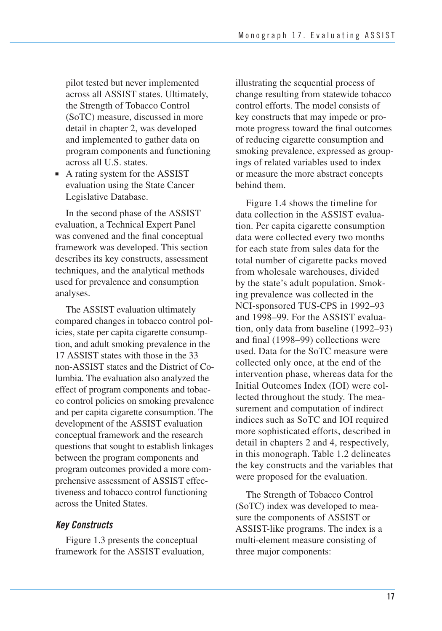pilot tested but never implemented across all ASSIST states. Ultimately, the Strength of Tobacco Control (SoTC) measure, discussed in more detail in chapter 2, was developed and implemented to gather data on program components and functioning across all U.S. states.

■ A rating system for the ASSIST evaluation using the State Cancer Legislative Database.

In the second phase of the ASSIST evaluation, a Technical Expert Panel was convened and the final conceptual framework was developed. This section describes its key constructs, assessment techniques, and the analytical methods used for prevalence and consumption analyses.

 The ASSIST evaluation ultimately compared changes in tobacco control pol- icies, state per capita cigarette consump- tion, and adult smoking prevalence in the 17 ASSIST states with those in the 33 non-ASSIST states and the District of Co- lumbia. The evaluation also analyzed the effect of program components and tobac- co control policies on smoking prevalence and per capita cigarette consumption. The development of the ASSIST evaluation conceptual framework and the research questions that sought to establish linkages between the program components and program outcomes provided a more com- prehensive assessment of ASSIST effec- tiveness and tobacco control functioning across the United States.

#### *Key Constructs*

Figure 1.3 presents the conceptual framework for the ASSIST evaluation, illustrating the sequential process of change resulting from statewide tobacco control efforts. The model consists of key constructs that may impede or promote progress toward the final outcomes of reducing cigarette consumption and smoking prevalence, expressed as groupings of related variables used to index or measure the more abstract concepts behind them.

 Figure 1.4 shows the timeline for data collection in the ASSIST evalua- tion. Per capita cigarette consumption data were collected every two months for each state from sales data for the total number of cigarette packs moved from wholesale warehouses, divided by the state's adult population. Smok- ing prevalence was collected in the NCI-sponsored TUS-CPS in 1992–93 and 1998–99. For the ASSIST evalua- tion, only data from baseline (1992–93) and final (1998–99) collections were used. Data for the SoTC measure were collected only once, at the end of the intervention phase, whereas data for the Initial Outcomes Index (IOI) were col- lected throughout the study. The mea- surement and computation of indirect indices such as SoTC and IOI required more sophisticated efforts, described in detail in chapters 2 and 4, respectively, in this monograph. Table 1.2 delineates the key constructs and the variables that were proposed for the evaluation.

The Strength of Tobacco Control (SoTC) index was developed to measure the components of ASSIST or ASSIST-like programs. The index is a multi-element measure consisting of three major components: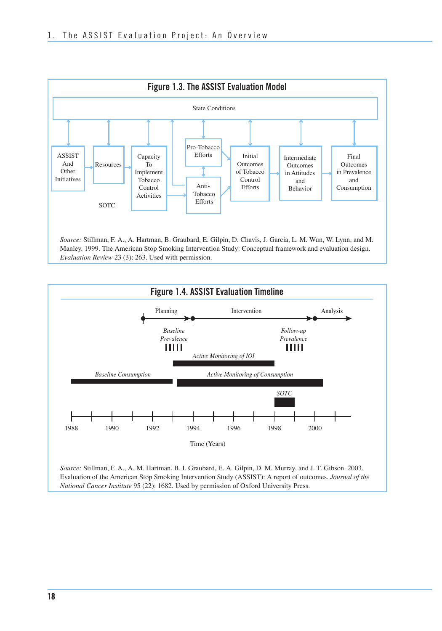

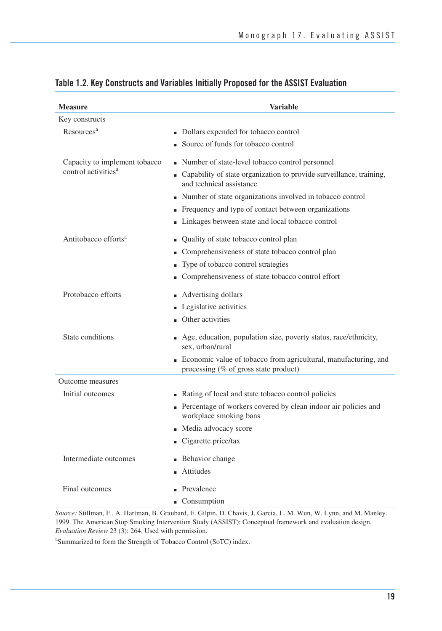| <b>Measure</b>                                                   | <b>Variable</b>                                                                                                                                                                                                                                                                                                                    |
|------------------------------------------------------------------|------------------------------------------------------------------------------------------------------------------------------------------------------------------------------------------------------------------------------------------------------------------------------------------------------------------------------------|
| Key constructs                                                   |                                                                                                                                                                                                                                                                                                                                    |
| Resources <sup>a</sup>                                           | • Dollars expended for tobacco control<br>Source of funds for tobacco control                                                                                                                                                                                                                                                      |
| Capacity to implement tobacco<br>control activities <sup>a</sup> | • Number of state-level tobacco control personnel<br>• Capability of state organization to provide surveillance, training,<br>and technical assistance<br>Number of state organizations involved in tobacco control<br>• Frequency and type of contact between organizations<br>• Linkages between state and local tobacco control |
| Antitobacco efforts <sup>a</sup>                                 | • Quality of state tobacco control plan<br>Comprehensiveness of state tobacco control plan<br>• Type of tobacco control strategies<br>Comprehensiveness of state tobacco control effort                                                                                                                                            |
| Protobacco efforts                                               | • Advertising dollars<br>• Legislative activities<br>• Other activities                                                                                                                                                                                                                                                            |
| State conditions                                                 | • Age, education, population size, poverty status, race/ethnicity,<br>sex. urban/rural                                                                                                                                                                                                                                             |
|                                                                  | • Economic value of tobacco from agricultural, manufacturing, and<br>processing (% of gross state product)                                                                                                                                                                                                                         |
| Outcome measures                                                 |                                                                                                                                                                                                                                                                                                                                    |
| Initial outcomes                                                 | • Rating of local and state tobacco control policies<br>• Percentage of workers covered by clean indoor air policies and<br>workplace smoking bans<br>• Media advocacy score<br>Cigarette price/tax                                                                                                                                |
| Intermediate outcomes                                            | <b>Behavior change</b><br>Attitudes                                                                                                                                                                                                                                                                                                |
| Final outcomes                                                   | Prevalence<br>■ Consumption                                                                                                                                                                                                                                                                                                        |

#### **Table 1.2. Key Constructs and Variables Initially Proposed for the ASSIST Evaluation**

*Source:* Stillman, F., A. Hartman, B. Graubard, E. Gilpin, D. Chavis, J. Garcia, L. M. Wun, W. Lynn, and M. Manley. 1999. The American Stop Smoking Intervention Study (ASSIST): Conceptual framework and evaluation design. *Evaluation Review* 23 (3): 264. Used with permission.

<sup>a</sup>Summarized to form the Strength of Tobacco Control (SoTC) index.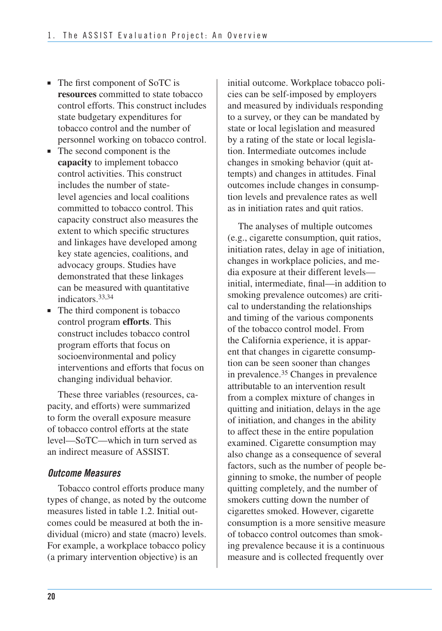- The first component of SoTC is **resources** committed to state tobacco control efforts. This construct includes state budgetary expenditures for tobacco control and the number of personnel working on tobacco control.
- The second component is the **capacity** to implement tobacco control activities. This construct includes the number of statelevel agencies and local coalitions committed to tobacco control. This capacity construct also measures the extent to which specific structures and linkages have developed among key state agencies, coalitions, and advocacy groups. Studies have demonstrated that these linkages can be measured with quantitative indicators.33,34
- The third component is tobacco control program **efforts**. This construct includes tobacco control program efforts that focus on socioenvironmental and policy interventions and efforts that focus on changing individual behavior.

These three variables (resources, capacity, and efforts) were summarized to form the overall exposure measure of tobacco control efforts at the state level—SoTC—which in turn served as an indirect measure of ASSIST.

### *Outcome Measures*

Tobacco control efforts produce many types of change, as noted by the outcome measures listed in table 1.2. Initial outcomes could be measured at both the individual (micro) and state (macro) levels. For example, a workplace tobacco policy (a primary intervention objective) is an

initial outcome. Workplace tobacco policies can be self-imposed by employers and measured by individuals responding to a survey, or they can be mandated by state or local legislation and measured by a rating of the state or local legislation. Intermediate outcomes include changes in smoking behavior (quit attempts) and changes in attitudes. Final outcomes include changes in consumption levels and prevalence rates as well as in initiation rates and quit ratios.

The analyses of multiple outcomes (e.g., cigarette consumption, quit ratios, initiation rates, delay in age of initiation, changes in workplace policies, and media exposure at their different levels initial, intermediate, final—in addition to smoking prevalence outcomes) are critical to understanding the relationships and timing of the various components of the tobacco control model. From the California experience, it is apparent that changes in cigarette consumption can be seen sooner than changes in prevalence.35 Changes in prevalence attributable to an intervention result from a complex mixture of changes in quitting and initiation, delays in the age of initiation, and changes in the ability to affect these in the entire population examined. Cigarette consumption may also change as a consequence of several factors, such as the number of people beginning to smoke, the number of people quitting completely, and the number of smokers cutting down the number of cigarettes smoked. However, cigarette consumption is a more sensitive measure of tobacco control outcomes than smoking prevalence because it is a continuous measure and is collected frequently over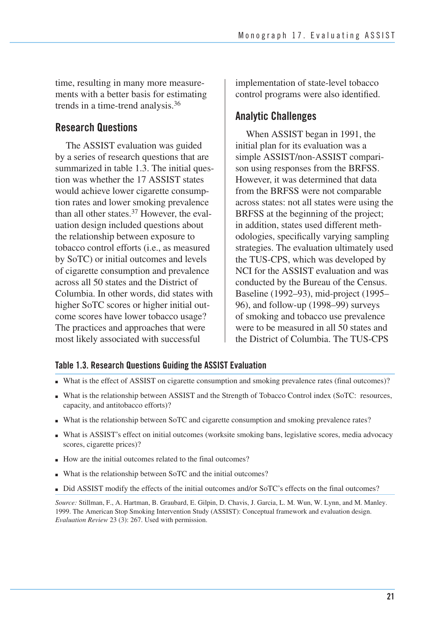time, resulting in many more measurements with a better basis for estimating trends in a time-trend analysis.36

## **Research Questions**

 The ASSIST evaluation was guided by a series of research questions that are summarized in table 1.3. The initial ques- tion was whether the 17 ASSIST states would achieve lower cigarette consump- tion rates and lower smoking prevalence than all other states.<sup>37</sup> However, the eval- uation design included questions about the relationship between exposure to tobacco control efforts (i.e., as measured by SoTC) or initial outcomes and levels of cigarette consumption and prevalence across all 50 states and the District of Columbia. In other words, did states with higher SoTC scores or higher initial out- come scores have lower tobacco usage? The practices and approaches that were most likely associated with successful

 implementation of state-level tobacco control programs were also identified.

### **Analytic Challenges**

 When ASSIST began in 1991, the initial plan for its evaluation was a son using responses from the BRFSS. However, it was determined that data from the BRFSS were not comparable across states: not all states were using the BRFSS at the beginning of the project; in addition, states used different meth- odologies, specifically varying sampling strategies. The evaluation ultimately used the TUS-CPS, which was developed by NCI for the ASSIST evaluation and was conducted by the Bureau of the Census. Baseline (1992–93), mid-project (1995– 96), and follow-up (1998–99) surveys of smoking and tobacco use prevalence were to be measured in all 50 states and the District of Columbia. The TUS-CPS simple ASSIST/non-ASSIST compari-

#### **Table 1.3. Research Questions Guiding the ASSIST Evaluation**

- What is the effect of ASSIST on cigarette consumption and smoking prevalence rates (final outcomes)?
- ■ What is the relationship between ASSIST and the Strength of Tobacco Control index (SoTC: resources, capacity, and antitobacco efforts)?
- What is the relationship between SoTC and cigarette consumption and smoking prevalence rates?
- What is ASSIST's effect on initial outcomes (worksite smoking bans, legislative scores, media advocacy scores, cigarette prices)?
- How are the initial outcomes related to the final outcomes?
- What is the relationship between SoTC and the initial outcomes?
- Did ASSIST modify the effects of the initial outcomes and/or SoTC's effects on the final outcomes?

*Source:* Stillman, F., A. Hartman, B. Graubard, E. Gilpin, D. Chavis, J. Garcia, L. M. Wun, W. Lynn, and M. Manley. 1999. The American Stop Smoking Intervention Study (ASSIST): Conceptual framework and evaluation design. *Evaluation Review* 23 (3): 267. Used with permission.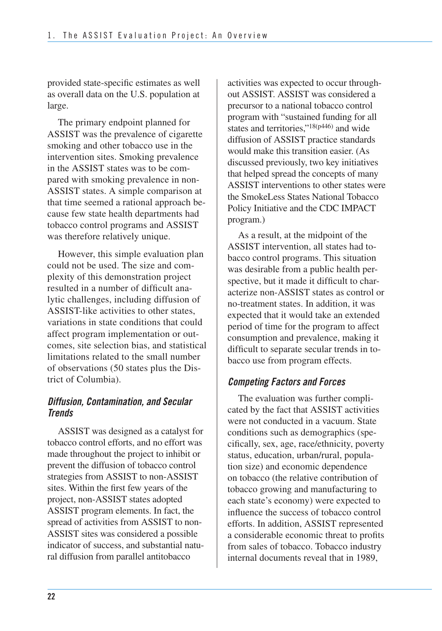provided state-specific estimates as well as overall data on the U.S. population at large.

 The primary endpoint planned for ASSIST was the prevalence of cigarette smoking and other tobacco use in the intervention sites. Smoking prevalence in the ASSIST states was to be com- pared with smoking prevalence in non- ASSIST states. A simple comparison at that time seemed a rational approach be- cause few state health departments had tobacco control programs and ASSIST was therefore relatively unique.

 However, this simple evaluation plan could not be used. The size and com- plexity of this demonstration project resulted in a number of difficult ana- lytic challenges, including diffusion of ASSIST-like activities to other states, variations in state conditions that could affect program implementation or out- comes, site selection bias, and statistical limitations related to the small number of observations (50 states plus the Dis-trict of Columbia).

#### *Diffusion, Contamination, and Secular Trends*

 ASSIST was designed as a catalyst for tobacco control efforts, and no effort was made throughout the project to inhibit or prevent the diffusion of tobacco control strategies from ASSIST to non-ASSIST sites. Within the first few years of the project, non-ASSIST states adopted ASSIST program elements. In fact, the spread of activities from ASSIST to non- ASSIST sites was considered a possible indicator of success, and substantial natu-ral diffusion from parallel antitobacco

 activities was expected to occur through- out ASSIST. ASSIST was considered a precursor to a national tobacco control program with "sustained funding for all states and territories,"<sup>18(p446)</sup> and wide diffusion of ASSIST practice standards would make this transition easier. (As discussed previously, two key initiatives that helped spread the concepts of many ASSIST interventions to other states were the SmokeLess States National Tobacco Policy Initiative and the CDC IMPACT program.)

As a result, at the midpoint of the ASSIST intervention, all states had tobacco control programs. This situation was desirable from a public health perspective, but it made it difficult to characterize non-ASSIST states as control or no-treatment states. In addition, it was expected that it would take an extended period of time for the program to affect consumption and prevalence, making it difficult to separate secular trends in tobacco use from program effects.

### *Competing Factors and Forces*

The evaluation was further complicated by the fact that ASSIST activities were not conducted in a vacuum. State conditions such as demographics (specifically, sex, age, race/ethnicity, poverty status, education, urban/rural, population size) and economic dependence on tobacco (the relative contribution of tobacco growing and manufacturing to each state's economy) were expected to influence the success of tobacco control efforts. In addition, ASSIST represented a considerable economic threat to profits from sales of tobacco. Tobacco industry internal documents reveal that in 1989,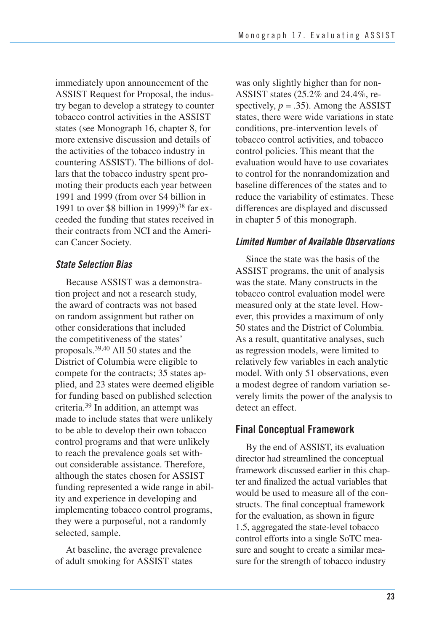immediately upon announcement of the ASSIST Request for Proposal, the industry began to develop a strategy to counter tobacco control activities in the ASSIST states (see Monograph 16, chapter 8, for more extensive discussion and details of the activities of the tobacco industry in countering ASSIST). The billions of dollars that the tobacco industry spent promoting their products each year between 1991 and 1999 (from over \$4 billion in 1991 to over \$8 billion in 1999)<sup>38</sup> far exceeded the funding that states received in their contracts from NCI and the American Cancer Society.

#### *State Selection Bias*

Because ASSIST was a demonstration project and not a research study, the award of contracts was not based on random assignment but rather on other considerations that included the competitiveness of the states' proposals.39,40 All 50 states and the District of Columbia were eligible to compete for the contracts; 35 states applied, and 23 states were deemed eligible for funding based on published selection criteria.39 In addition, an attempt was made to include states that were unlikely to be able to develop their own tobacco control programs and that were unlikely to reach the prevalence goals set without considerable assistance. Therefore, although the states chosen for ASSIST funding represented a wide range in ability and experience in developing and implementing tobacco control programs, they were a purposeful, not a randomly selected, sample.

At baseline, the average prevalence of adult smoking for ASSIST states

was only slightly higher than for non-ASSIST states (25.2% and 24.4%, respectively,  $p = .35$ ). Among the ASSIST states, there were wide variations in state conditions, pre-intervention levels of tobacco control activities, and tobacco control policies. This meant that the evaluation would have to use covariates to control for the nonrandomization and baseline differences of the states and to reduce the variability of estimates. These differences are displayed and discussed in chapter 5 of this monograph.

#### *Limited Number of Available Observations*

Since the state was the basis of the ASSIST programs, the unit of analysis was the state. Many constructs in the tobacco control evaluation model were measured only at the state level. However, this provides a maximum of only 50 states and the District of Columbia. As a result, quantitative analyses, such as regression models, were limited to relatively few variables in each analytic model. With only 51 observations, even a modest degree of random variation severely limits the power of the analysis to detect an effect.

### **Final Conceptual Framework**

 By the end of ASSIST, its evaluation director had streamlined the conceptual framework discussed earlier in this chap- ter and finalized the actual variables that would be used to measure all of the con- structs. The final conceptual framework for the evaluation, as shown in figure 1.5, aggregated the state-level tobacco control efforts into a single SoTC measure and sought to create a similar mea-sure for the strength of tobacco industry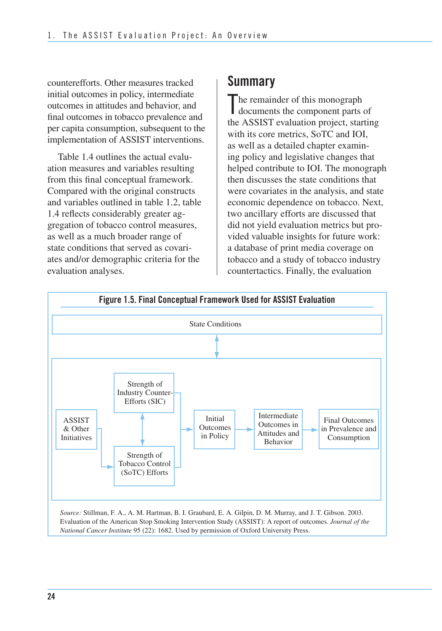counterefforts. Other measures tracked initial outcomes in policy, intermediate outcomes in attitudes and behavior, and final outcomes in tobacco prevalence and per capita consumption, subsequent to the implementation of ASSIST interventions.

Table 1.4 outlines the actual evaluation measures and variables resulting from this final conceptual framework. Compared with the original constructs and variables outlined in table 1.2, table 1.4 reflects considerably greater aggregation of tobacco control measures, as well as a much broader range of state conditions that served as covariates and/or demographic criteria for the evaluation analyses.

# **Summary**

The remainder of this monograph<br>documents the component parts documents the component parts of the ASSIST evaluation project, starting with its core metrics, SoTC and IOI, as well as a detailed chapter examining policy and legislative changes that helped contribute to IOI. The monograph then discusses the state conditions that were covariates in the analysis, and state economic dependence on tobacco. Next, two ancillary efforts are discussed that did not yield evaluation metrics but provided valuable insights for future work: a database of print media coverage on tobacco and a study of tobacco industry countertactics. Finally, the evaluation

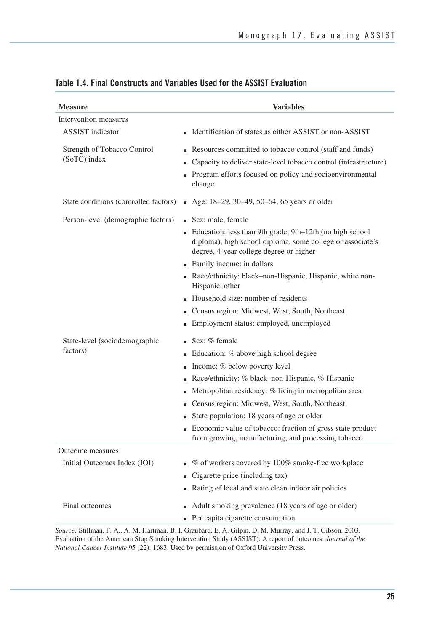| <b>Measure</b>                              | <b>Variables</b>                                                                                                                                                                                   |
|---------------------------------------------|----------------------------------------------------------------------------------------------------------------------------------------------------------------------------------------------------|
| Intervention measures                       |                                                                                                                                                                                                    |
| <b>ASSIST</b> indicator                     | ■ Identification of states as either ASSIST or non-ASSIST                                                                                                                                          |
| Strength of Tobacco Control<br>(SoTC) index | Resources committed to tobacco control (staff and funds)<br>Capacity to deliver state-level tobacco control (infrastructure)<br>Program efforts focused on policy and socioenvironmental<br>change |
| State conditions (controlled factors)       | $\blacksquare$ Age: 18–29, 30–49, 50–64, 65 years or older                                                                                                                                         |
| Person-level (demographic factors)          | ■ Sex: male, female<br>Education: less than 9th grade, 9th-12th (no high school                                                                                                                    |
|                                             | diploma), high school diploma, some college or associate's<br>degree, 4-year college degree or higher                                                                                              |
|                                             | Family income: in dollars<br>Race/ethnicity: black-non-Hispanic, Hispanic, white non-                                                                                                              |
|                                             | Hispanic, other                                                                                                                                                                                    |
|                                             | Household size: number of residents                                                                                                                                                                |
|                                             | Census region: Midwest, West, South, Northeast                                                                                                                                                     |
|                                             | Employment status: employed, unemployed                                                                                                                                                            |
| State-level (sociodemographic               | Sex: % female                                                                                                                                                                                      |
| factors)                                    | Education: % above high school degree                                                                                                                                                              |
|                                             | Income: % below poverty level<br>a,                                                                                                                                                                |
|                                             | Race/ethnicity: % black–non-Hispanic, % Hispanic                                                                                                                                                   |
|                                             | Metropolitan residency: % living in metropolitan area                                                                                                                                              |
|                                             | Census region: Midwest, West, South, Northeast                                                                                                                                                     |
|                                             | State population: 18 years of age or older                                                                                                                                                         |
|                                             | Economic value of tobacco: fraction of gross state product<br>from growing, manufacturing, and processing tobacco                                                                                  |
| Outcome measures                            |                                                                                                                                                                                                    |
| Initial Outcomes Index (IOI)                | % of workers covered by 100% smoke-free workplace                                                                                                                                                  |
|                                             | Cigarette price (including tax)                                                                                                                                                                    |
|                                             | Rating of local and state clean indoor air policies                                                                                                                                                |
| Final outcomes                              | Adult smoking prevalence (18 years of age or older)<br>• Per capita cigarette consumption                                                                                                          |
|                                             | <i>Source:</i> Stillman, F. A., A. M. Hartman, B. I. Graubard, E. A. Gilpin, D. M. Murray, and J. T. Gibson, 2003.                                                                                 |

#### **Table 1.4. Final Constructs and Variables Used for the ASSIST Evaluation**

*Source:* Stillman, F. A., A. M. Hartman, B. I. Graubard, E. A. Gilpin, D. M. Murray, and J. T. Gibson. 2003. Evaluation of the American Stop Smoking Intervention Study (ASSIST): A report of outcomes. *Journal of the National Cancer Institute* 95 (22): 1683. Used by permission of Oxford University Press.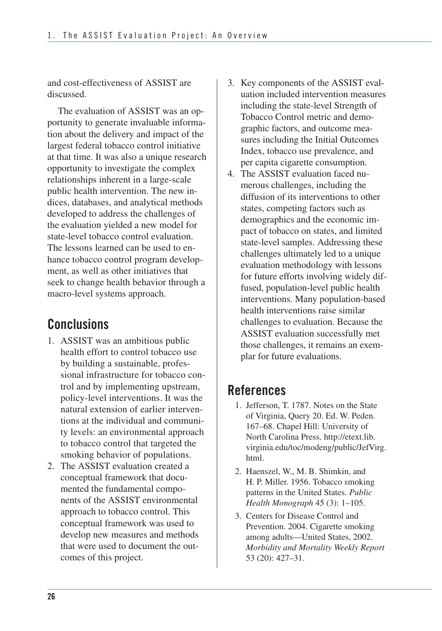and cost-effectiveness of ASSIST are discussed.

The evaluation of ASSIST was an opportunity to generate invaluable information about the delivery and impact of the largest federal tobacco control initiative at that time. It was also a unique research opportunity to investigate the complex relationships inherent in a large-scale public health intervention. The new indices, databases, and analytical methods developed to address the challenges of the evaluation yielded a new model for state-level tobacco control evaluation. The lessons learned can be used to enhance tobacco control program development, as well as other initiatives that seek to change health behavior through a macro-level systems approach.

# **Conclusions**

- 1. ASSIST was an ambitious public health effort to control tobacco use by building a sustainable, profes- sional infrastructure for tobacco con- trol and by implementing upstream, policy-level interventions. It was the natural extension of earlier interven- tions at the individual and communi- ty levels: an environmental approach to tobacco control that targeted the smoking behavior of populations.
- 2. The ASSIST evaluation created a conceptual framework that documented the fundamental components of the ASSIST environmental approach to tobacco control. This conceptual framework was used to develop new measures and methods that were used to document the outcomes of this project.
- 3. Key components of the ASSIST eval- uation included intervention measures including the state-level Strength of Tobacco Control metric and demo- graphic factors, and outcome mea- sures including the Initial Outcomes Index, tobacco use prevalence, and per capita cigarette consumption.
- 4. The ASSIST evaluation faced nu merous challenges, including the diffusion of its interventions to other states, competing factors such as demographics and the economic im- pact of tobacco on states, and limited state-level samples. Addressing these challenges ultimately led to a unique evaluation methodology with lessons for future efforts involving widely dif- fused, population-level public health interventions. Many population-based health interventions raise similar challenges to evaluation. Because the ASSIST evaluation successfully met those challenges, it remains an exem-plar for future evaluations.

# **References**

- 1. Jefferson, T. 1787. Notes on the State of Virginia, Query 20. Ed. W. Peden. 167–68. Chapel Hill: University of North Carolina Press. http://etext.lib. virginia.edu/toc/modeng/public/JefVirg. html.
- 2. Haenszel, W., M. B. Shimkin, and H. P. Miller. 1956. Tobacco smoking patterns in the United States. *Public Health Monograph* 45 (3): 1–105.
- 3. Centers for Disease Control and Prevention. 2004. Cigarette smoking among adults—United States, 2002. *Morbidity and Mortality Weekly Report*  53 (20): 427–31.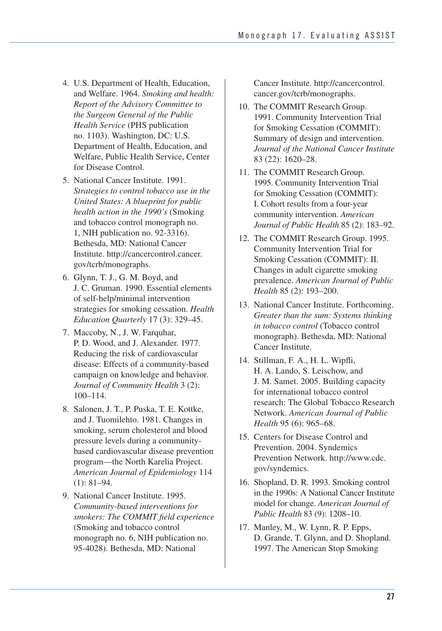- 4. U.S. Department of Health, Education, and Welfare. 1964. *Smoking and health: Report of the Advisory Committee to the Surgeon General of the Public Health Service* (PHS publication no. 1103). Washington, DC: U.S. Department of Health, Education, and Welfare, Public Health Service, Center for Disease Control.
- 5. National Cancer Institute. 1991. *Strategies to control tobacco use in the United States: A blueprint for public health action in the 1990's* (Smoking and tobacco control monograph no. 1, NIH publication no. 92-3316). Bethesda, MD: National Cancer Institute. http://cancercontrol.cancer. gov/tcrb/monographs.
- 6. Glynn, T. J., G. M. Boyd, and J. C. Gruman. 1990. Essential elements of self-help/minimal intervention strategies for smoking cessation. *Health Education Quarterly* 17 (3): 329–45.
- 7. Maccoby, N., J. W. Farquhar, P. D. Wood, and J. Alexander. 1977. Reducing the risk of cardiovascular disease: Effects of a community-based campaign on knowledge and behavior. *Journal of Community Health* 3 (2): 100–114.
- 8. Salonen, J. T., P. Puska, T. E. Kottke, and J. Tuomilehto. 1981. Changes in smoking, serum cholesterol and blood pressure levels during a communitybased cardiovascular disease prevention program—the North Karelia Project. *American Journal of Epidemiology* 114 (1): 81–94.
- 9. National Cancer Institute. 1995. *Community-based interventions for smokers: The COMMIT field experience*  (Smoking and tobacco control monograph no. 6, NIH publication no. 95-4028). Bethesda, MD: National

Cancer Institute. http://cancercontrol. cancer.gov/tcrb/monographs.

- 10. The COMMIT Research Group. 1991. Community Intervention Trial for Smoking Cessation (COMMIT): Summary of design and intervention. *Journal of the National Cancer Institute*  83 (22): 1620–28.
- 1995. Community Intervention Trial for Smoking Cessation (COMMIT): I. Cohort results from a four-year community intervention. *American Journal of Public Health* 85 (2): 183–92. 11. The COMMIT Research Group.
- 12. The COMMIT Research Group. 1995. Community Intervention Trial for Smoking Cessation (COMMIT): II. Changes in adult cigarette smoking prevalence. *American Journal of Public Health* 85 (2): 193–200.
- 13. National Cancer Institute. Forthcoming. *Greater than the sum: Systems thinking in tobacco control* (Tobacco control monograph). Bethesda, MD: National Cancer Institute.
- H. A. Lando, S. Leischow, and J. M. Samet. 2005. Building capacity for international tobacco control research: The Global Tobacco Research  Network. *American Journal of Public Health* 95 (6): 965–68. 14. Stillman, F. A., H. L. Wipfli,
- Prevention. 2004. Syndemics Prevention Network. http://www.cdc. 15. Centers for Disease Control and gov/syndemics.
- in the 1990s: A National Cancer Institute model for change. *American Journal of Public Health* 83 (9): 1208–10. 16. Shopland, D. R. 1993. Smoking control
- 17. Manley, M., W. Lynn, R. P. Epps, D. Grande, T. Glynn, and D. Shopland. 1997. The American Stop Smoking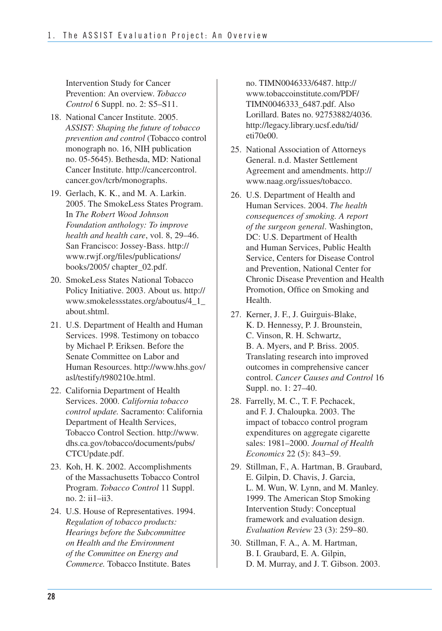Intervention Study for Cancer Prevention: An overview. *Tobacco Control* 6 Suppl. no. 2: S5–S11.

- 18. National Cancer Institute. 2005. *ASSIST: Shaping the future of tobacco prevention and control* (Tobacco control monograph no. 16, NIH publication no. 05-5645). Bethesda, MD: National Cancer Institute. http://cancercontrol. cancer.gov/tcrb/monographs.
- 2005. The SmokeLess States Program.  In *The Robert Wood Johnson Foundation anthology: To improve health and health care*, vol. 8, 29–46. San Francisco: Jossey-Bass. http:// 19. Gerlach, K. K., and M. A. Larkin. www.rwjf.org/files/publications/ books/2005/ chapter\_02.pdf.
- 20. SmokeLess States National Tobacco Policy Initiative. 2003. About us. http:// www.smokelessstates.org/aboutus/4\_1\_ about.shtml.
- 21. U.S. Department of Health and Human Services. 1998. Testimony on tobacco by Michael P. Eriksen. Before the Senate Committee on Labor and Human Resources. http://www.hhs.gov/ asl/testify/t980210e.html.
- 22. California Department of Health Services. 2000. *California tobacco control update.* Sacramento: California Department of Health Services, Tobacco Control Section. http://www. dhs.ca.gov/tobacco/documents/pubs/ CTCUpdate.pdf.
- 23. Koh, H. K. 2002. Accomplishments of the Massachusetts Tobacco Control Program. *Tobacco Control* 11 Suppl. no. 2: ii1–ii3.
- *Regulation of tobacco products: Hearings before the Subcommittee on Health and the Environment of the Committee on Energy and Commerce.* Tobacco Institute. Bates 24. U.S. House of Representatives. 1994.

 Lorillard. Bates no. 92753882/4036. no. TIMN0046333/6487. http:// www.tobaccoinstitute.com/PDF/ TIMN0046333\_6487.pdf. Also http://legacy.library.ucsf.edu/tid/ eti70e00.

- 25. National Association of Attorneys General. n.d. Master Settlement Agreement and amendments. http:// www.naag.org/issues/tobacco.
- 26. U.S. Department of Health and Human Services. 2004. *The health consequences of smoking. A report of the surgeon general*. Washington, DC: U.S. Department of Health and Human Services, Public Health Service, Centers for Disease Control and Prevention, National Center for Chronic Disease Prevention and Health Promotion, Office on Smoking and Health.
- 27. Kerner, J. F., J. Guirguis-Blake, K. D. Hennessy, P. J. Brounstein, C. Vinson, R. H. Schwartz, B. A. Myers, and P. Briss. 2005. Translating research into improved outcomes in comprehensive cancer control. *Cancer Causes and Control* 16 Suppl. no. 1: 27–40.
- 28. Farrelly, M. C., T. F. Pechacek, and F. J. Chaloupka. 2003. The impact of tobacco control program expenditures on aggregate cigarette sales: 1981–2000. *Journal of Health Economics* 22 (5): 843–59.
- 29. Stillman, F., A. Hartman, B. Graubard, E. Gilpin, D. Chavis, J. Garcia, L. M. Wun, W. Lynn, and M. Manley. 1999. The American Stop Smoking Intervention Study: Conceptual framework and evaluation design. *Evaluation Review* 23 (3): 259–80.
- 30. Stillman, F. A., A. M. Hartman, B. I. Graubard, E. A. Gilpin, D. M. Murray, and J. T. Gibson. 2003.